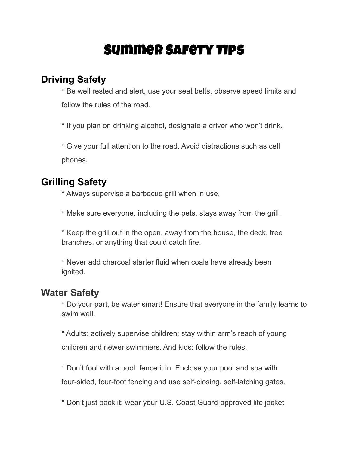# Summer Safety Tips

#### **Driving Safety**

\* Be well rested and alert, use your seat belts, observe speed limits and follow the rules of the road.

\* If you plan on drinking alcohol, designate a driver who won't drink.

\* Give your full attention to the road. Avoid distractions such as cell phones.

## **Grilling Safety**

**\*** Always supervise a barbecue grill when in use.

\* Make sure everyone, including the pets, stays away from the grill.

\* Keep the grill out in the open, away from the house, the deck, tree branches, or anything that could catch fire.

\* Never add charcoal starter fluid when coals have already been ignited.

### **Water Safety**

\* Do your part, be water smart! Ensure that everyone in the family learns to swim well.

\* Adults: actively supervise children; stay within arm's reach of young children and newer swimmers. And kids: follow the rules.

\* Don't fool with a pool: fence it in. Enclose your pool and spa with four-sided, four-foot fencing and use self-closing, self-latching gates.

\* Don't just pack it; wear your U.S. Coast Guard-approved life jacket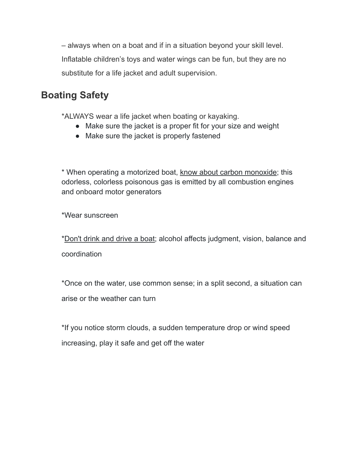– always when on a boat and if in a situation beyond your skill level. Inflatable children's toys and water wings can be fun, but they are no substitute for a life jacket and adult supervision.

## **Boating Safety**

\*ALWAYS wear a life jacket when boating or kayaking.

- Make sure the jacket is a proper fit for your size and weight
- Make sure the jacket is properly fastened

\* When operating a motorized boat, know about carbon [monoxide;](https://www.nsc.org/home-safety/safety-topics/other-poisons/carbon-monoxide) this odorless, colorless poisonous gas is emitted by all combustion engines and onboard motor generators

\*Wear sunscreen

[\\*Don't](http://www.operationdrywater.org/) drink and drive a boat; alcohol affects judgment, vision, balance and coordination

\*Once on the water, use common sense; in a split second, a situation can arise or the weather can turn

\*If you notice storm clouds, a sudden temperature drop or wind speed increasing, play it safe and get off the water